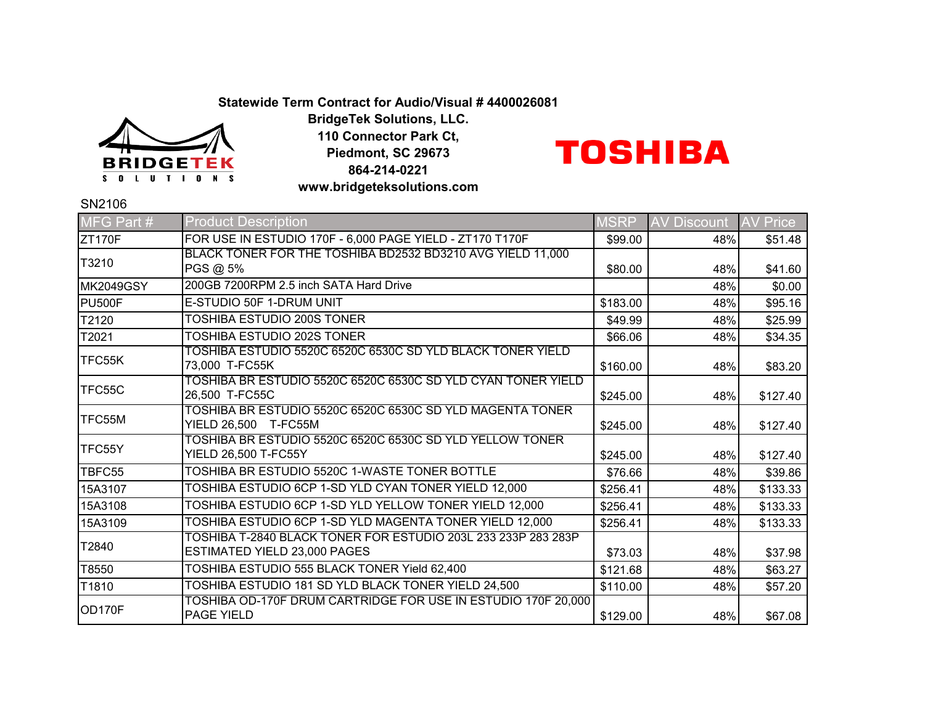## **Statewide Term Contract for Audio/Visual # 4400026081**



**BridgeTek Solutions, LLC. 110 Connector Park Ct, Piedmont, SC 29673 864-214-0221 www.bridgeteksolutions.com**

## **TOSHIBA**

SN2106

| MFG Part #       | <b>Product Description</b>                                                                    | <b>MSRP</b> | <b>AV Discount</b> | <b>AV Price</b> |
|------------------|-----------------------------------------------------------------------------------------------|-------------|--------------------|-----------------|
| <b>ZT170F</b>    | FOR USE IN ESTUDIO 170F - 6,000 PAGE YIELD - ZT170 T170F                                      | \$99.00     | 48%                | \$51.48         |
| T3210            | BLACK TONER FOR THE TOSHIBA BD2532 BD3210 AVG YIELD 11,000<br>PGS @ 5%                        | \$80.00     | 48%                | \$41.60         |
| <b>MK2049GSY</b> | 200GB 7200RPM 2.5 inch SATA Hard Drive                                                        |             | 48%                | \$0.00          |
| PU500F           | E-STUDIO 50F 1-DRUM UNIT                                                                      | \$183.00    | 48%                | \$95.16         |
| T2120            | TOSHIBA ESTUDIO 200S TONER                                                                    | \$49.99     | 48%                | \$25.99         |
| T2021            | TOSHIBA ESTUDIO 202S TONER                                                                    | \$66.06     | 48%                | \$34.35         |
| TFC55K           | TOSHIBA ESTUDIO 5520C 6520C 6530C SD YLD BLACK TONER YIELD<br>73,000 T-FC55K                  | \$160.00    | 48%                | \$83.20         |
| TFC55C           | TOSHIBA BR ESTUDIO 5520C 6520C 6530C SD YLD CYAN TONER YIELD<br>26,500 T-FC55C                | \$245.00    | 48%                | \$127.40        |
| TFC55M           | TOSHIBA BR ESTUDIO 5520C 6520C 6530C SD YLD MAGENTA TONER.<br>YIELD 26,500 T-FC55M            | \$245.00    | 48%                | \$127.40        |
| TFC55Y           | TOSHIBA BR ESTUDIO 5520C 6520C 6530C SD YLD YELLOW TONER<br>YIELD 26,500 T-FC55Y              | \$245.00    | 48%                | \$127.40        |
| TBFC55           | TOSHIBA BR ESTUDIO 5520C 1-WASTE TONER BOTTLE                                                 | \$76.66     | 48%                | \$39.86         |
| 15A3107          | TOSHIBA ESTUDIO 6CP 1-SD YLD CYAN TONER YIELD 12,000                                          | \$256.41    | 48%                | \$133.33        |
| 15A3108          | TOSHIBA ESTUDIO 6CP 1-SD YLD YELLOW TONER YIELD 12,000                                        | \$256.41    | 48%                | \$133.33        |
| 15A3109          | TOSHIBA ESTUDIO 6CP 1-SD YLD MAGENTA TONER YIELD 12,000                                       | \$256.41    | 48%                | \$133.33        |
| T2840            | TOSHIBA T-2840 BLACK TONER FOR ESTUDIO 203L 233 233P 283 283P<br>ESTIMATED YIELD 23,000 PAGES | \$73.03     | 48%                | \$37.98         |
| T8550            | TOSHIBA ESTUDIO 555 BLACK TONER Yield 62,400                                                  | \$121.68    | 48%                | \$63.27         |
| T1810            | TOSHIBA ESTUDIO 181 SD YLD BLACK TONER YIELD 24,500                                           | \$110.00    | 48%                | \$57.20         |
| OD170F           | TOSHIBA OD-170F DRUM CARTRIDGE FOR USE IN ESTUDIO 170F 20,000<br><b>PAGE YIELD</b>            | \$129.00    | 48%                | \$67.08         |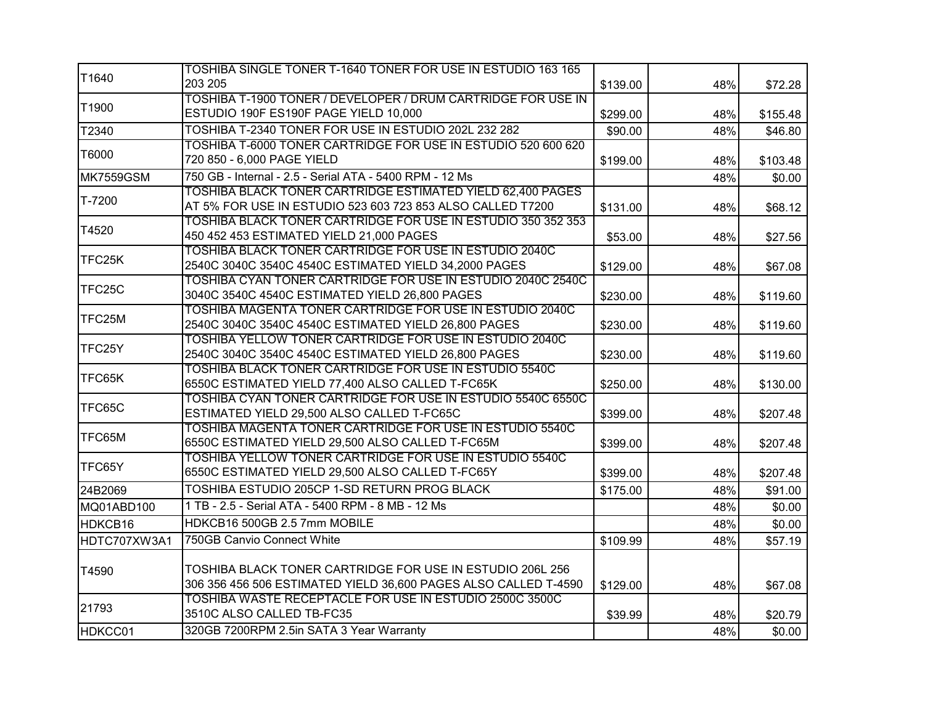|                  | TOSHIBA SINGLE TONER T-1640 TONER FOR USE IN ESTUDIO 163 165                                                     |          |     |          |
|------------------|------------------------------------------------------------------------------------------------------------------|----------|-----|----------|
| T1640            | 203 205                                                                                                          | \$139.00 | 48% | \$72.28  |
| T1900            | TOSHIBA T-1900 TONER / DEVELOPER / DRUM CARTRIDGE FOR USE IN                                                     |          |     |          |
|                  | ESTUDIO 190F ES190F PAGE YIELD 10,000                                                                            | \$299.00 | 48% | \$155.48 |
| T2340            | TOSHIBA T-2340 TONER FOR USE IN ESTUDIO 202L 232 282                                                             | \$90.00  | 48% | \$46.80  |
| T6000            | TOSHIBA T-6000 TONER CARTRIDGE FOR USE IN ESTUDIO 520 600 620                                                    |          |     |          |
|                  | 720 850 - 6,000 PAGE YIELD                                                                                       | \$199.00 | 48% | \$103.48 |
| <b>MK7559GSM</b> | 750 GB - Internal - 2.5 - Serial ATA - 5400 RPM - 12 Ms                                                          |          | 48% | \$0.00   |
| T-7200           | TOSHIBA BLACK TONER CARTRIDGE ESTIMATED YIELD 62,400 PAGES                                                       |          |     |          |
|                  | AT 5% FOR USE IN ESTUDIO 523 603 723 853 ALSO CALLED T7200                                                       | \$131.00 | 48% | \$68.12  |
| T4520            | TOSHIBA BLACK TONER CARTRIDGE FOR USE IN ESTUDIO 350 352 353                                                     |          |     |          |
|                  | 450 452 453 ESTIMATED YIELD 21,000 PAGES                                                                         | \$53.00  | 48% | \$27.56  |
| TFC25K           | TOSHIBA BLACK TONER CARTRIDGE FOR USE IN ESTUDIO 2040C                                                           |          |     |          |
|                  | 2540C 3040C 3540C 4540C ESTIMATED YIELD 34,2000 PAGES                                                            | \$129.00 | 48% | \$67.08  |
| TFC25C           | TOSHIBA CYAN TONER CARTRIDGE FOR USE IN ESTUDIO 2040C 2540C                                                      |          |     |          |
|                  | 3040C 3540C 4540C ESTIMATED YIELD 26,800 PAGES                                                                   | \$230.00 | 48% | \$119.60 |
| TFC25M           | TOSHIBA MAGENTA TONER CARTRIDGE FOR USE IN ESTUDIO 2040C<br>2540C 3040C 3540C 4540C ESTIMATED YIELD 26,800 PAGES |          |     |          |
|                  | TOSHIBA YELLOW TONER CARTRIDGE FOR USE IN ESTUDIO 2040C                                                          | \$230.00 | 48% | \$119.60 |
| TFC25Y           | 2540C 3040C 3540C 4540C ESTIMATED YIELD 26,800 PAGES                                                             | \$230.00 | 48% | \$119.60 |
|                  | TOSHIBA BLACK TONER CARTRIDGE FOR USE IN ESTUDIO 5540C                                                           |          |     |          |
| TFC65K           | 6550C ESTIMATED YIELD 77,400 ALSO CALLED T-FC65K                                                                 | \$250.00 | 48% | \$130.00 |
|                  | TOSHIBA CYAN TONER CARTRIDGE FOR USE IN ESTUDIO 5540C 6550C                                                      |          |     |          |
| TFC65C           | ESTIMATED YIELD 29,500 ALSO CALLED T-FC65C                                                                       | \$399.00 | 48% | \$207.48 |
|                  | <b>TOSHIBA MAGENTA TONER CARTRIDGE FOR USE IN ESTUDIO 5540C</b>                                                  |          |     |          |
| TFC65M           | 6550C ESTIMATED YIELD 29,500 ALSO CALLED T-FC65M                                                                 | \$399.00 | 48% | \$207.48 |
|                  | TOSHIBA YELLOW TONER CARTRIDGE FOR USE IN ESTUDIO 5540C                                                          |          |     |          |
| TFC65Y           | 6550C ESTIMATED YIELD 29,500 ALSO CALLED T-FC65Y                                                                 | \$399.00 | 48% | \$207.48 |
| 24B2069          | TOSHIBA ESTUDIO 205CP 1-SD RETURN PROG BLACK                                                                     | \$175.00 | 48% | \$91.00  |
| MQ01ABD100       | 1 TB - 2.5 - Serial ATA - 5400 RPM - 8 MB - 12 Ms                                                                |          | 48% | \$0.00   |
| HDKCB16          | HDKCB16 500GB 2.5 7mm MOBILE                                                                                     |          | 48% | \$0.00   |
| HDTC707XW3A1     | 750GB Canvio Connect White                                                                                       | \$109.99 | 48% | \$57.19  |
|                  |                                                                                                                  |          |     |          |
| T4590            | TOSHIBA BLACK TONER CARTRIDGE FOR USE IN ESTUDIO 206L 256                                                        |          |     |          |
|                  | 306 356 456 506 ESTIMATED YIELD 36,600 PAGES ALSO CALLED T-4590                                                  | \$129.00 | 48% | \$67.08  |
| 21793            | TOSHIBA WASTE RECEPTACLE FOR USE IN ESTUDIO 2500C 3500C                                                          |          |     |          |
|                  | 3510C ALSO CALLED TB-FC35                                                                                        | \$39.99  | 48% | \$20.79  |
| HDKCC01          | 320GB 7200RPM 2.5in SATA 3 Year Warranty                                                                         |          | 48% | \$0.00   |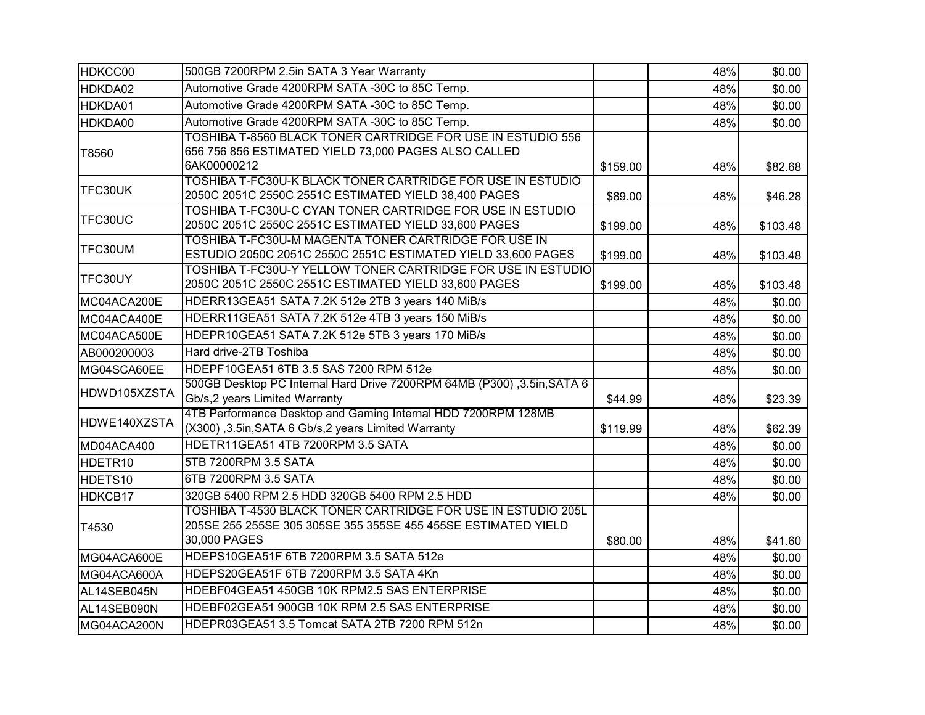| HDKCC00             | 500GB 7200RPM 2.5in SATA 3 Year Warranty                                                                                                      |          | 48% | \$0.00   |
|---------------------|-----------------------------------------------------------------------------------------------------------------------------------------------|----------|-----|----------|
| HDKDA02             | Automotive Grade 4200RPM SATA -30C to 85C Temp.                                                                                               |          | 48% | \$0.00   |
| HDKDA01             | Automotive Grade 4200RPM SATA -30C to 85C Temp.                                                                                               |          | 48% | \$0.00   |
| HDKDA00             | Automotive Grade 4200RPM SATA -30C to 85C Temp.                                                                                               |          | 48% | \$0.00   |
| T8560               | TOSHIBA T-8560 BLACK TONER CARTRIDGE FOR USE IN ESTUDIO 556<br>656 756 856 ESTIMATED YIELD 73,000 PAGES ALSO CALLED<br>6AK00000212            | \$159.00 | 48% | \$82.68  |
| TFC30UK             | TOSHIBA T-FC30U-K BLACK TONER CARTRIDGE FOR USE IN ESTUDIO<br>2050C 2051C 2550C 2551C ESTIMATED YIELD 38,400 PAGES                            | \$89.00  | 48% | \$46.28  |
| TFC30UC             | TOSHIBA T-FC30U-C CYAN TONER CARTRIDGE FOR USE IN ESTUDIO<br>2050C 2051C 2550C 2551C ESTIMATED YIELD 33,600 PAGES                             | \$199.00 | 48% | \$103.48 |
| TFC30UM             | TOSHIBA T-FC30U-M MAGENTA TONER CARTRIDGE FOR USE IN<br>ESTUDIO 2050C 2051C 2550C 2551C ESTIMATED YIELD 33,600 PAGES                          | \$199.00 | 48% | \$103.48 |
| TFC30UY             | TOSHIBA T-FC30U-Y YELLOW TONER CARTRIDGE FOR USE IN ESTUDIO<br>2050C 2051C 2550C 2551C ESTIMATED YIELD 33,600 PAGES                           | \$199.00 | 48% | \$103.48 |
| MC04ACA200E         | HDERR13GEA51 SATA 7.2K 512e 2TB 3 years 140 MiB/s                                                                                             |          | 48% | \$0.00   |
| MC04ACA400E         | HDERR11GEA51 SATA 7.2K 512e 4TB 3 years 150 MiB/s                                                                                             |          | 48% | \$0.00   |
| MC04ACA500E         | HDEPR10GEA51 SATA 7.2K 512e 5TB 3 years 170 MiB/s                                                                                             |          | 48% | \$0.00   |
| AB000200003         | Hard drive-2TB Toshiba                                                                                                                        |          | 48% | \$0.00   |
| MG04SCA60EE         | HDEPF10GEA51 6TB 3.5 SAS 7200 RPM 512e                                                                                                        |          | 48% | \$0.00   |
| HDWD105XZSTA        | 500GB Desktop PC Internal Hard Drive 7200RPM 64MB (P300), 3.5in, SATA 6<br>Gb/s,2 years Limited Warranty                                      | \$44.99  | 48% | \$23.39  |
| HDWE140XZSTA        | 4TB Performance Desktop and Gaming Internal HDD 7200RPM 128MB<br>(X300), 3.5in, SATA 6 Gb/s, 2 years Limited Warranty                         | \$119.99 | 48% | \$62.39  |
| MD04ACA400          | HDETR11GEA51 4TB 7200RPM 3.5 SATA                                                                                                             |          | 48% | \$0.00   |
| HDETR <sub>10</sub> | 5TB 7200RPM 3.5 SATA                                                                                                                          |          | 48% | \$0.00   |
| HDETS <sub>10</sub> | 6TB 7200RPM 3.5 SATA                                                                                                                          |          | 48% | \$0.00   |
| HDKCB17             | 320GB 5400 RPM 2.5 HDD 320GB 5400 RPM 2.5 HDD                                                                                                 |          | 48% | \$0.00   |
| T4530               | TOSHIBA T-4530 BLACK TONER CARTRIDGE FOR USE IN ESTUDIO 205L<br>205SE 255 255SE 305 305SE 355 355SE 455 455SE ESTIMATED YIELD<br>30,000 PAGES | \$80.00  | 48% | \$41.60  |
| MG04ACA600E         | HDEPS10GEA51F 6TB 7200RPM 3.5 SATA 512e                                                                                                       |          | 48% | \$0.00   |
| MG04ACA600A         | HDEPS20GEA51F 6TB 7200RPM 3.5 SATA 4Kn                                                                                                        |          | 48% | \$0.00   |
| AL14SEB045N         | HDEBF04GEA51 450GB 10K RPM2.5 SAS ENTERPRISE                                                                                                  |          | 48% | \$0.00   |
| AL14SEB090N         | HDEBF02GEA51 900GB 10K RPM 2.5 SAS ENTERPRISE                                                                                                 |          | 48% | \$0.00   |
| MG04ACA200N         | HDEPR03GEA51 3.5 Tomcat SATA 2TB 7200 RPM 512n                                                                                                |          | 48% | \$0.00   |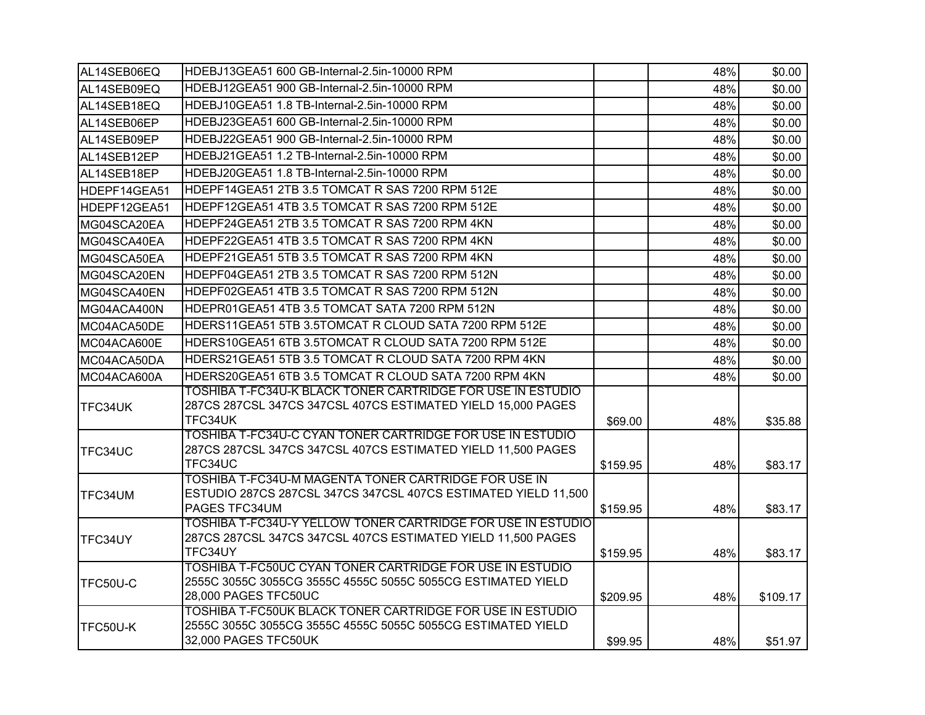| AL14SEB06EQ     | HDEBJ13GEA51 600 GB-Internal-2.5in-10000 RPM                                        |          | 48% | \$0.00   |
|-----------------|-------------------------------------------------------------------------------------|----------|-----|----------|
| AL14SEB09EQ     | HDEBJ12GEA51 900 GB-Internal-2.5in-10000 RPM                                        |          | 48% | \$0.00   |
| AL14SEB18EQ     | HDEBJ10GEA51  1.8 TB-Internal-2.5in-10000 RPM                                       |          | 48% | \$0.00   |
| AL14SEB06EP     | HDEBJ23GEA51 600 GB-Internal-2.5in-10000 RPM                                        |          | 48% | \$0.00   |
| AL14SEB09EP     | HDEBJ22GEA51 900 GB-Internal-2.5in-10000 RPM                                        |          | 48% | \$0.00   |
| AL14SEB12EP     | HDEBJ21GEA51 1.2 TB-Internal-2.5in-10000 RPM                                        |          | 48% | \$0.00   |
| AL14SEB18EP     | HDEBJ20GEA51 1.8 TB-Internal-2.5in-10000 RPM                                        |          | 48% | \$0.00   |
| HDEPF14GEA51    | HDEPF14GEA51 2TB 3.5 TOMCAT R SAS 7200 RPM 512E                                     |          | 48% | \$0.00   |
| HDEPF12GEA51    | HDEPF12GEA51 4TB 3.5 TOMCAT R SAS 7200 RPM 512E                                     |          | 48% | \$0.00   |
| MG04SCA20EA     | HDEPF24GEA51 2TB 3.5 TOMCAT R SAS 7200 RPM 4KN                                      |          | 48% | \$0.00   |
| MG04SCA40EA     | HDEPF22GEA51 4TB 3.5 TOMCAT R SAS 7200 RPM 4KN                                      |          | 48% | \$0.00   |
| MG04SCA50EA     | HDEPF21GEA51 5TB 3.5 TOMCAT R SAS 7200 RPM 4KN                                      |          | 48% | \$0.00   |
| MG04SCA20EN     | HDEPF04GEA51 2TB 3.5 TOMCAT R SAS 7200 RPM 512N                                     |          | 48% | \$0.00   |
| MG04SCA40EN     | HDEPF02GEA51 4TB 3.5 TOMCAT R SAS 7200 RPM 512N                                     |          | 48% | \$0.00   |
| MG04ACA400N     | HDEPR01GEA51 4TB 3.5 TOMCAT SATA 7200 RPM 512N                                      |          | 48% | \$0.00   |
| MC04ACA50DE     | HDERS11GEA51 5TB 3.5TOMCAT R CLOUD SATA 7200 RPM 512E                               |          | 48% | \$0.00   |
| MC04ACA600E     | HDERS10GEA51 6TB 3.5TOMCAT R CLOUD SATA 7200 RPM 512E                               |          | 48% | \$0.00   |
| MC04ACA50DA     | HDERS21GEA51 5TB 3.5 TOMCAT R CLOUD SATA 7200 RPM 4KN                               |          | 48% | \$0.00   |
| MC04ACA600A     | HDERS20GEA51 6TB 3.5 TOMCAT R CLOUD SATA 7200 RPM 4KN                               |          | 48% | \$0.00   |
|                 | TOSHIBA T-FC34U-K BLACK TONER CARTRIDGE FOR USE IN ESTUDIO                          |          |     |          |
| <b>TFC34UK</b>  | 287CS 287CSL 347CS 347CSL 407CS ESTIMATED YIELD 15,000 PAGES                        |          |     |          |
|                 | TFC34UK                                                                             | \$69.00  | 48% | \$35.88  |
|                 | TOSHIBA T-FC34U-C CYAN TONER CARTRIDGE FOR USE IN ESTUDIO                           |          |     |          |
| TFC34UC         | 287CS 287CSL 347CS 347CSL 407CS ESTIMATED YIELD 11,500 PAGES<br>TFC34UC             | \$159.95 | 48% | \$83.17  |
|                 | TOSHIBA T-FC34U-M MAGENTA TONER CARTRIDGE FOR USE IN                                |          |     |          |
| TFC34UM         | ESTUDIO 287CS 287CSL 347CS 347CSL 407CS ESTIMATED YIELD 11,500                      |          |     |          |
|                 | PAGES TFC34UM                                                                       | \$159.95 | 48% | \$83.17  |
|                 | TOSHIBA T-FC34U-Y YELLOW TONER CARTRIDGE FOR USE IN ESTUDIO                         |          |     |          |
| TFC34UY         | 287CS 287CSL 347CS 347CSL 407CS ESTIMATED YIELD 11,500 PAGES                        |          |     |          |
|                 | TFC34UY                                                                             | \$159.95 | 48% | \$83.17  |
| TFC50U-C        | TOSHIBA T-FC50UC CYAN TONER CARTRIDGE FOR USE IN ESTUDIO                            |          |     |          |
|                 | 2555C 3055C 3055CG 3555C 4555C 5055C 5055CG ESTIMATED YIELD                         |          |     |          |
|                 | 28,000 PAGES TFC50UC                                                                | \$209.95 | 48% | \$109.17 |
|                 | TOSHIBA T-FC50UK BLACK TONER CARTRIDGE FOR USE IN ESTUDIO                           |          |     |          |
| <b>TFC50U-K</b> | 2555C 3055C 3055CG 3555C 4555C 5055C 5055CG ESTIMATED YIELD<br>32,000 PAGES TFC50UK |          |     |          |
|                 |                                                                                     | \$99.95  | 48% | \$51.97  |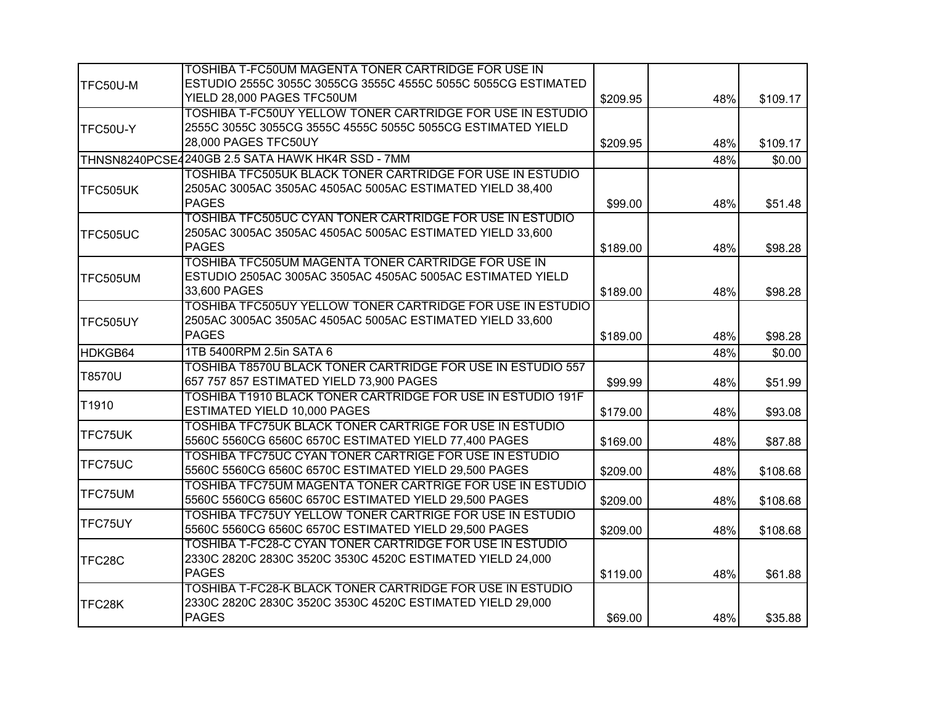| TFC50U-M       | TOSHIBA T-FC50UM MAGENTA TONER CARTRIDGE FOR USE IN<br>ESTUDIO 2555C 3055C 3055CG 3555C 4555C 5055C 5055CG ESTIMATED                                     |          |     |          |
|----------------|----------------------------------------------------------------------------------------------------------------------------------------------------------|----------|-----|----------|
|                | YIELD 28,000 PAGES TFC50UM                                                                                                                               | \$209.95 | 48% | \$109.17 |
| TFC50U-Y       | <b>TOSHIBA T-FC50UY YELLOW TONER CARTRIDGE FOR USE IN ESTUDIO</b><br>2555C 3055C 3055CG 3555C 4555C 5055C 5055CG ESTIMATED YIELD<br>28,000 PAGES TFC50UY | \$209.95 | 48% | \$109.17 |
|                | THNSN8240PCSE4240GB 2.5 SATA HAWK HK4R SSD - 7MM                                                                                                         |          | 48% | \$0.00   |
| TFC505UK       | TOSHIBA TFC505UK BLACK TONER CARTRIDGE FOR USE IN ESTUDIO<br>2505AC 3005AC 3505AC 4505AC 5005AC ESTIMATED YIELD 38,400<br><b>PAGES</b>                   | \$99.00  | 48% | \$51.48  |
| TFC505UC       | TOSHIBA TFC505UC CYAN TONER CARTRIDGE FOR USE IN ESTUDIO<br>2505AC 3005AC 3505AC 4505AC 5005AC ESTIMATED YIELD 33,600<br><b>PAGES</b>                    | \$189.00 | 48% | \$98.28  |
| TFC505UM       | TOSHIBA TFC505UM MAGENTA TONER CARTRIDGE FOR USE IN<br>ESTUDIO 2505AC 3005AC 3505AC 4505AC 5005AC ESTIMATED YIELD<br>33,600 PAGES                        | \$189.00 | 48% | \$98.28  |
| TFC505UY       | TOSHIBA TFC505UY YELLOW TONER CARTRIDGE FOR USE IN ESTUDIO<br>2505AC 3005AC 3505AC 4505AC 5005AC ESTIMATED YIELD 33,600<br><b>PAGES</b>                  | \$189.00 | 48% | \$98.28  |
| HDKGB64        | 1TB 5400RPM 2.5in SATA 6                                                                                                                                 |          | 48% | \$0.00   |
| T8570U         | TOSHIBA T8570U BLACK TONER CARTRIDGE FOR USE IN ESTUDIO 557<br>657 757 857 ESTIMATED YIELD 73,900 PAGES                                                  | \$99.99  | 48% | \$51.99  |
| T1910          | <b>TOSHIBA T1910 BLACK TONER CARTRIDGE FOR USE IN ESTUDIO 191F</b><br>ESTIMATED YIELD 10,000 PAGES                                                       | \$179.00 | 48% | \$93.08  |
| <b>TFC75UK</b> | TOSHIBA TFC75UK BLACK TONER CARTRIGE FOR USE IN ESTUDIO<br>5560C 5560CG 6560C 6570C ESTIMATED YIELD 77,400 PAGES                                         | \$169.00 | 48% | \$87.88  |
| TFC75UC        | TOSHIBA TFC75UC CYAN TONER CARTRIGE FOR USE IN ESTUDIO<br>5560C 5560CG 6560C 6570C ESTIMATED YIELD 29,500 PAGES                                          | \$209.00 | 48% | \$108.68 |
| TFC75UM        | TOSHIBA TFC75UM MAGENTA TONER CARTRIGE FOR USE IN ESTUDIO<br>5560C 5560CG 6560C 6570C ESTIMATED YIELD 29,500 PAGES                                       | \$209.00 | 48% | \$108.68 |
| TFC75UY        | TOSHIBA TFC75UY YELLOW TONER CARTRIGE FOR USE IN ESTUDIO<br>5560C 5560CG 6560C 6570C ESTIMATED YIELD 29,500 PAGES                                        | \$209.00 | 48% | \$108.68 |
| TFC28C         | TOSHIBA T-FC28-C CYAN TONER CARTRIDGE FOR USE IN ESTUDIO<br>2330C 2820C 2830C 3520C 3530C 4520C ESTIMATED YIELD 24,000<br><b>PAGES</b>                   | \$119.00 | 48% | \$61.88  |
| TFC28K         | TOSHIBA T-FC28-K BLACK TONER CARTRIDGE FOR USE IN ESTUDIO<br>2330C 2820C 2830C 3520C 3530C 4520C ESTIMATED YIELD 29,000<br><b>PAGES</b>                  | \$69.00  | 48% | \$35.88  |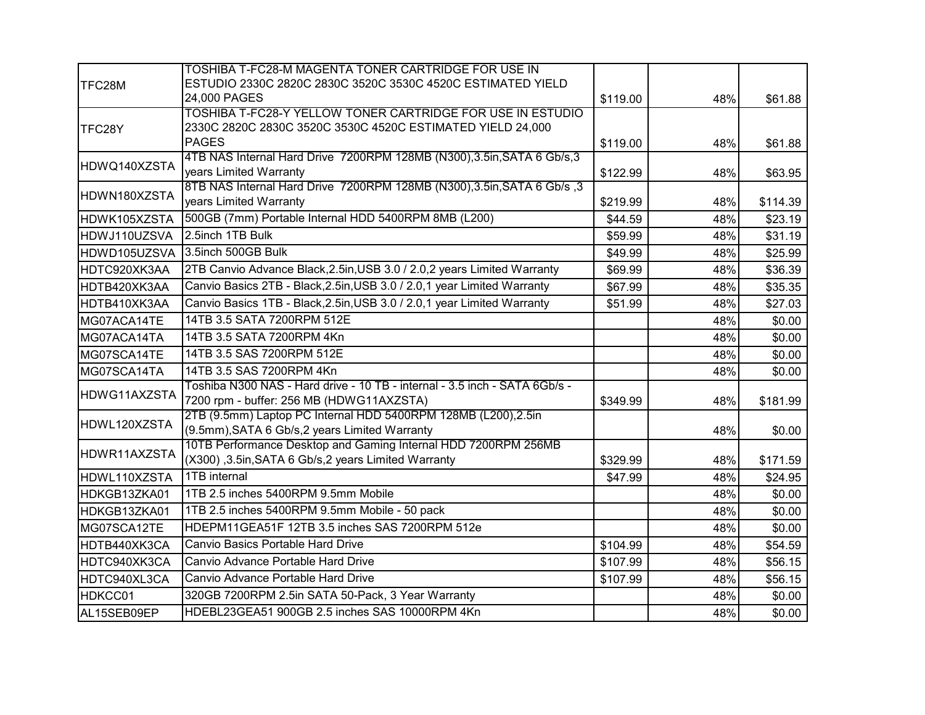|              | TOSHIBA T-FC28-M MAGENTA TONER CARTRIDGE FOR USE IN                                                                      |          |     |          |
|--------------|--------------------------------------------------------------------------------------------------------------------------|----------|-----|----------|
| TFC28M       | ESTUDIO 2330C 2820C 2830C 3520C 3530C 4520C ESTIMATED YIELD                                                              |          |     |          |
|              | 24,000 PAGES                                                                                                             | \$119.00 | 48% | \$61.88  |
| TFC28Y       | TOSHIBA T-FC28-Y YELLOW TONER CARTRIDGE FOR USE IN ESTUDIO<br>2330C 2820C 2830C 3520C 3530C 4520C ESTIMATED YIELD 24,000 |          |     |          |
|              | <b>PAGES</b>                                                                                                             | \$119.00 | 48% | \$61.88  |
| HDWQ140XZSTA | 4TB NAS Internal Hard Drive 7200RPM 128MB (N300), 3.5in, SATA 6 Gb/s, 3<br>years Limited Warranty                        | \$122.99 | 48% | \$63.95  |
| HDWN180XZSTA | 8TB NAS Internal Hard Drive 7200RPM 128MB (N300), 3.5in, SATA 6 Gb/s , 3<br>years Limited Warranty                       | \$219.99 | 48% | \$114.39 |
| HDWK105XZSTA | 500GB (7mm) Portable Internal HDD 5400RPM 8MB (L200)                                                                     | \$44.59  | 48% | \$23.19  |
| HDWJ110UZSVA | 2.5inch 1TB Bulk                                                                                                         | \$59.99  | 48% | \$31.19  |
| HDWD105UZSVA | 3.5inch 500GB Bulk                                                                                                       | \$49.99  | 48% | \$25.99  |
| HDTC920XK3AA | 2TB Canvio Advance Black, 2.5in, USB 3.0 / 2.0, 2 years Limited Warranty                                                 | \$69.99  | 48% | \$36.39  |
| HDTB420XK3AA | Canvio Basics 2TB - Black, 2.5in, USB 3.0 / 2.0, 1 year Limited Warranty                                                 | \$67.99  | 48% | \$35.35  |
| HDTB410XK3AA | Canvio Basics 1TB - Black, 2.5in, USB 3.0 / 2.0, 1 year Limited Warranty                                                 | \$51.99  | 48% | \$27.03  |
| MG07ACA14TE  | 14TB 3.5 SATA 7200RPM 512E                                                                                               |          | 48% | \$0.00   |
| MG07ACA14TA  | 14TB 3.5 SATA 7200RPM 4Kn                                                                                                |          | 48% | \$0.00   |
| MG07SCA14TE  | 14TB 3.5 SAS 7200RPM 512E                                                                                                |          | 48% | \$0.00   |
| MG07SCA14TA  | 14TB 3.5 SAS 7200RPM 4Kn                                                                                                 |          | 48% | \$0.00   |
| HDWG11AXZSTA | Toshiba N300 NAS - Hard drive - 10 TB - internal - 3.5 inch - SATA 6Gb/s -<br>7200 rpm - buffer: 256 MB (HDWG11AXZSTA)   | \$349.99 | 48% | \$181.99 |
| HDWL120XZSTA | 2TB (9.5mm) Laptop PC Internal HDD 5400RPM 128MB (L200),2.5in<br>(9.5mm), SATA 6 Gb/s, 2 years Limited Warranty          |          | 48% | \$0.00   |
| HDWR11AXZSTA | 10TB Performance Desktop and Gaming Internal HDD 7200RPM 256MB<br>(X300), 3.5in, SATA 6 Gb/s, 2 years Limited Warranty   | \$329.99 | 48% | \$171.59 |
| HDWL110XZSTA | 1TB internal                                                                                                             | \$47.99  | 48% | \$24.95  |
| HDKGB13ZKA01 | 1TB 2.5 inches 5400RPM 9.5mm Mobile                                                                                      |          | 48% | \$0.00   |
| HDKGB13ZKA01 | 1TB 2.5 inches 5400RPM 9.5mm Mobile - 50 pack                                                                            |          | 48% | \$0.00   |
| MG07SCA12TE  | HDEPM11GEA51F 12TB 3.5 inches SAS 7200RPM 512e                                                                           |          | 48% | \$0.00   |
| HDTB440XK3CA | Canvio Basics Portable Hard Drive                                                                                        | \$104.99 | 48% | \$54.59  |
| HDTC940XK3CA | Canvio Advance Portable Hard Drive                                                                                       | \$107.99 | 48% | \$56.15  |
| HDTC940XL3CA | Canvio Advance Portable Hard Drive                                                                                       | \$107.99 | 48% | \$56.15  |
| HDKCC01      | 320GB 7200RPM 2.5in SATA 50-Pack, 3 Year Warranty                                                                        |          | 48% | \$0.00   |
| AL15SEB09EP  | HDEBL23GEA51 900GB 2.5 inches SAS 10000RPM 4Kn                                                                           |          | 48% | \$0.00   |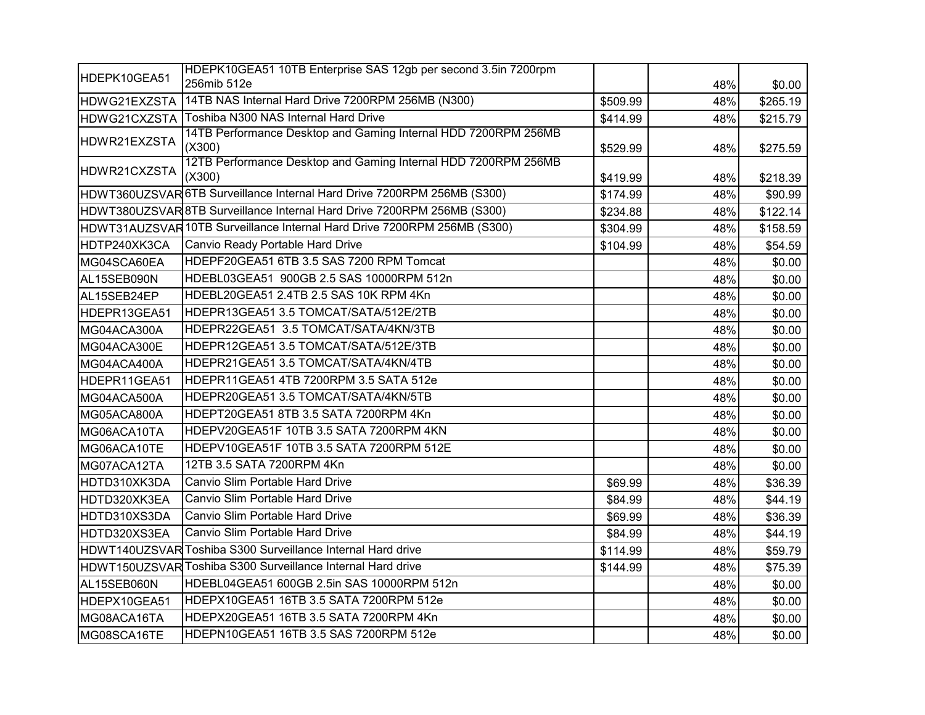| HDEPK10GEA51 | HDEPK10GEA51 10TB Enterprise SAS 12gb per second 3.5in 7200rpm           |          |     |          |
|--------------|--------------------------------------------------------------------------|----------|-----|----------|
|              | 256mib 512e                                                              |          | 48% | \$0.00   |
| HDWG21EXZSTA | 14TB NAS Internal Hard Drive 7200RPM 256MB (N300)                        | \$509.99 | 48% | \$265.19 |
|              | HDWG21CXZSTA Toshiba N300 NAS Internal Hard Drive                        | \$414.99 | 48% | \$215.79 |
| HDWR21EXZSTA | 14TB Performance Desktop and Gaming Internal HDD 7200RPM 256MB<br>(X300) | \$529.99 | 48% | \$275.59 |
| HDWR21CXZSTA | 12TB Performance Desktop and Gaming Internal HDD 7200RPM 256MB<br>(X300) | \$419.99 | 48% | \$218.39 |
|              | HDWT360UZSVAR 6TB Surveillance Internal Hard Drive 7200RPM 256MB (S300)  | \$174.99 | 48% | \$90.99  |
|              | HDWT380UZSVAR 8TB Surveillance Internal Hard Drive 7200RPM 256MB (S300)  | \$234.88 | 48% | \$122.14 |
|              | HDWT31AUZSVAR 10TB Surveillance Internal Hard Drive 7200RPM 256MB (S300) | \$304.99 | 48% | \$158.59 |
| HDTP240XK3CA | Canvio Ready Portable Hard Drive                                         | \$104.99 | 48% | \$54.59  |
| MG04SCA60EA  | HDEPF20GEA51 6TB 3.5 SAS 7200 RPM Tomcat                                 |          | 48% | \$0.00   |
| AL15SEB090N  | HDEBL03GEA51 900GB 2.5 SAS 10000RPM 512n                                 |          | 48% | \$0.00   |
| AL15SEB24EP  | HDEBL20GEA51 2.4TB 2.5 SAS 10K RPM 4Kn                                   |          | 48% | \$0.00   |
| HDEPR13GEA51 | HDEPR13GEA51 3.5 TOMCAT/SATA/512E/2TB                                    |          | 48% | \$0.00   |
| MG04ACA300A  | HDEPR22GEA51 3.5 TOMCAT/SATA/4KN/3TB                                     |          | 48% | \$0.00   |
| MG04ACA300E  | HDEPR12GEA51 3.5 TOMCAT/SATA/512E/3TB                                    |          | 48% | \$0.00   |
| MG04ACA400A  | HDEPR21GEA51 3.5 TOMCAT/SATA/4KN/4TB                                     |          | 48% | \$0.00   |
| HDEPR11GEA51 | HDEPR11GEA51 4TB 7200RPM 3.5 SATA 512e                                   |          | 48% | \$0.00   |
| MG04ACA500A  | HDEPR20GEA51 3.5 TOMCAT/SATA/4KN/5TB                                     |          | 48% | \$0.00   |
| MG05ACA800A  | HDEPT20GEA51 8TB 3.5 SATA 7200RPM 4Kn                                    |          | 48% | \$0.00   |
| MG06ACA10TA  | HDEPV20GEA51F 10TB 3.5 SATA 7200RPM 4KN                                  |          | 48% | \$0.00   |
| MG06ACA10TE  | HDEPV10GEA51F 10TB 3.5 SATA 7200RPM 512E                                 |          | 48% | \$0.00   |
| MG07ACA12TA  | 12TB 3.5 SATA 7200RPM 4Kn                                                |          | 48% | \$0.00   |
| HDTD310XK3DA | Canvio Slim Portable Hard Drive                                          | \$69.99  | 48% | \$36.39  |
| HDTD320XK3EA | Canvio Slim Portable Hard Drive                                          | \$84.99  | 48% | \$44.19  |
| HDTD310XS3DA | Canvio Slim Portable Hard Drive                                          | \$69.99  | 48% | \$36.39  |
| HDTD320XS3EA | Canvio Slim Portable Hard Drive                                          | \$84.99  | 48% | \$44.19  |
|              | HDWT140UZSVAR Toshiba S300 Surveillance Internal Hard drive              | \$114.99 | 48% | \$59.79  |
|              | HDWT150UZSVAR Toshiba S300 Surveillance Internal Hard drive              | \$144.99 | 48% | \$75.39  |
| AL15SEB060N  | HDEBL04GEA51 600GB 2.5in SAS 10000RPM 512n                               |          | 48% | \$0.00   |
| HDEPX10GEA51 | HDEPX10GEA51 16TB 3.5 SATA 7200RPM 512e                                  |          | 48% | \$0.00   |
| MG08ACA16TA  | HDEPX20GEA51 16TB 3.5 SATA 7200RPM 4Kn                                   |          | 48% | \$0.00   |
| MG08SCA16TE  | HDEPN10GEA51 16TB 3.5 SAS 7200RPM 512e                                   |          | 48% | \$0.00   |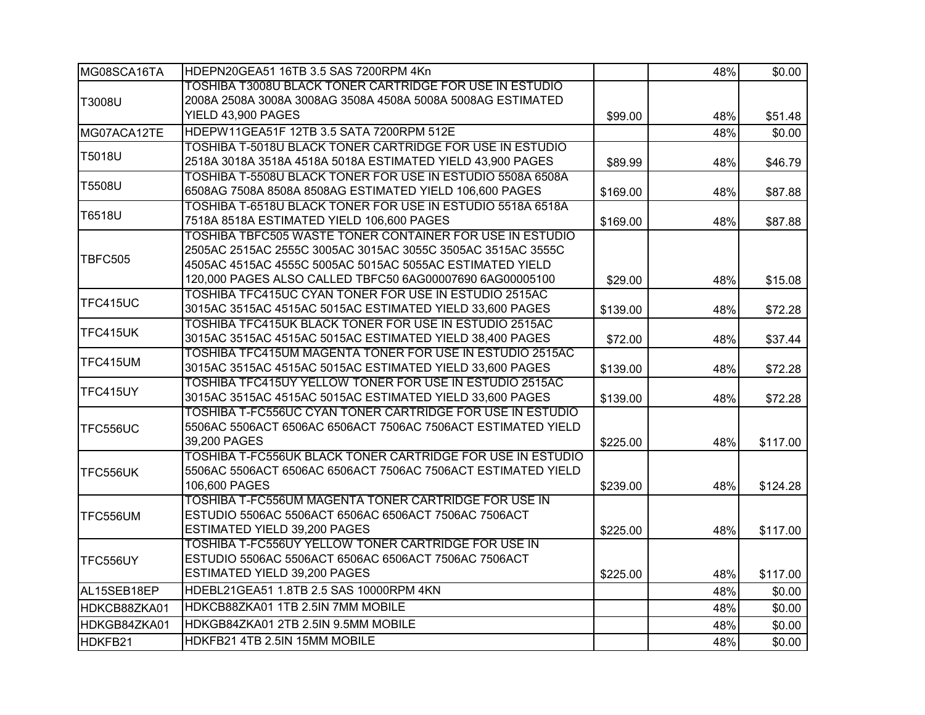| MG08SCA16TA     | HDEPN20GEA51 16TB 3.5 SAS 7200RPM 4Kn                                                                                 |          | 48% | \$0.00   |
|-----------------|-----------------------------------------------------------------------------------------------------------------------|----------|-----|----------|
|                 | TOSHIBA T3008U BLACK TONER CARTRIDGE FOR USE IN ESTUDIO                                                               |          |     |          |
| T3008U          | 2008A 2508A 3008A 3008AG 3508A 4508A 5008A 5008AG ESTIMATED                                                           |          |     |          |
|                 | YIELD 43,900 PAGES                                                                                                    | \$99.00  | 48% | \$51.48  |
| MG07ACA12TE     | HDEPW11GEA51F 12TB 3.5 SATA 7200RPM 512E                                                                              |          | 48% | \$0.00   |
|                 | TOSHIBA T-5018U BLACK TONER CARTRIDGE FOR USE IN ESTUDIO                                                              |          |     |          |
| T5018U          | 2518A 3018A 3518A 4518A 5018A ESTIMATED YIELD 43,900 PAGES                                                            | \$89.99  | 48% | \$46.79  |
| T5508U          | TOSHIBA T-5508U BLACK TONER FOR USE IN ESTUDIO 5508A 6508A                                                            |          |     |          |
|                 | 6508AG 7508A 8508A 8508AG ESTIMATED YIELD 106,600 PAGES                                                               | \$169.00 | 48% | \$87.88  |
| T6518U          | TOSHIBA T-6518U BLACK TONER FOR USE IN ESTUDIO 5518A 6518A                                                            |          |     |          |
|                 | 7518A 8518A ESTIMATED YIELD 106,600 PAGES                                                                             | \$169.00 | 48% | \$87.88  |
|                 | TOSHIBA TBFC505 WASTE TONER CONTAINER FOR USE IN ESTUDIO                                                              |          |     |          |
| TBFC505         | 2505AC 2515AC 2555C 3005AC 3015AC 3055C 3505AC 3515AC 3555C                                                           |          |     |          |
|                 | 4505AC 4515AC 4555C 5005AC 5015AC 5055AC ESTIMATED YIELD                                                              |          |     |          |
|                 | 120,000 PAGES ALSO CALLED TBFC50 6AG00007690 6AG00005100                                                              | \$29.00  | 48% | \$15.08  |
| TFC415UC        | TOSHIBA TFC415UC CYAN TONER FOR USE IN ESTUDIO 2515AC                                                                 |          |     |          |
|                 | 3015AC 3515AC 4515AC 5015AC ESTIMATED YIELD 33,600 PAGES                                                              | \$139.00 | 48% | \$72.28  |
| TFC415UK        | <b>TOSHIBA TFC415UK BLACK TONER FOR USE IN ESTUDIO 2515AC</b>                                                         |          |     |          |
|                 | 3015AC 3515AC 4515AC 5015AC ESTIMATED YIELD 38,400 PAGES                                                              | \$72.00  | 48% | \$37.44  |
| TFC415UM        | TOSHIBA TFC415UM MAGENTA TONER FOR USE IN ESTUDIO 2515AC                                                              |          |     |          |
|                 | 3015AC 3515AC 4515AC 5015AC ESTIMATED YIELD 33,600 PAGES                                                              | \$139.00 | 48% | \$72.28  |
| TFC415UY        | TOSHIBA TFC415UY YELLOW TONER FOR USE IN ESTUDIO 2515AC                                                               |          |     |          |
|                 | 3015AC 3515AC 4515AC 5015AC ESTIMATED YIELD 33,600 PAGES<br>TOSHIBA T-FC556UC CYAN TONER CARTRIDGE FOR USE IN ESTUDIO | \$139.00 | 48% | \$72.28  |
|                 | 5506AC 5506ACT 6506AC 6506ACT 7506AC 7506ACT ESTIMATED YIELD                                                          |          |     |          |
| TFC556UC        | 39,200 PAGES                                                                                                          |          |     |          |
|                 | TOSHIBA T-FC556UK BLACK TONER CARTRIDGE FOR USE IN ESTUDIO                                                            | \$225.00 | 48% | \$117.00 |
|                 | 5506AC 5506ACT 6506AC 6506ACT 7506AC 7506ACT ESTIMATED YIELD                                                          |          |     |          |
| TFC556UK        | 106,600 PAGES                                                                                                         | \$239.00 | 48% | \$124.28 |
|                 | TOSHIBA T-FC556UM MAGENTA TONER CARTRIDGE FOR USE IN                                                                  |          |     |          |
| <b>TFC556UM</b> | ESTUDIO 5506AC 5506ACT 6506AC 6506ACT 7506AC 7506ACT                                                                  |          |     |          |
|                 | ESTIMATED YIELD 39,200 PAGES                                                                                          | \$225.00 | 48% | \$117.00 |
|                 | <b>TOSHIBA T-FC556UY YELLOW TONER CARTRIDGE FOR USE IN</b>                                                            |          |     |          |
| TFC556UY        | ESTUDIO 5506AC 5506ACT 6506AC 6506ACT 7506AC 7506ACT                                                                  |          |     |          |
|                 | ESTIMATED YIELD 39,200 PAGES                                                                                          | \$225.00 | 48% | \$117.00 |
| AL15SEB18EP     | HDEBL21GEA51 1.8TB 2.5 SAS 10000RPM 4KN                                                                               |          | 48% | \$0.00   |
| HDKCB88ZKA01    | HDKCB88ZKA01 1TB 2.5IN 7MM MOBILE                                                                                     |          | 48% | \$0.00   |
|                 | HDKGB84ZKA01 2TB 2.5IN 9.5MM MOBILE                                                                                   |          |     |          |
| HDKGB84ZKA01    |                                                                                                                       |          | 48% | \$0.00   |
| HDKFB21         | HDKFB21 4TB 2.5IN 15MM MOBILE                                                                                         |          | 48% | \$0.00   |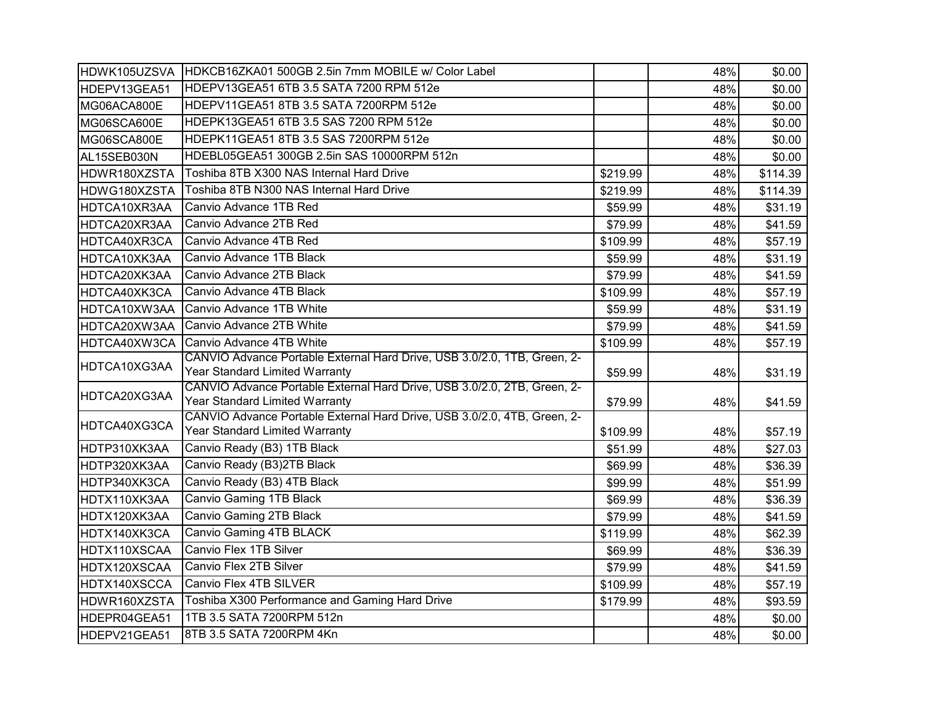| HDWK105UZSVA | HDKCB16ZKA01 500GB 2.5in 7mm MOBILE w/ Color Label                                                         |          | 48% | \$0.00   |
|--------------|------------------------------------------------------------------------------------------------------------|----------|-----|----------|
| HDEPV13GEA51 | HDEPV13GEA51 6TB 3.5 SATA 7200 RPM 512e                                                                    |          | 48% | \$0.00   |
| MG06ACA800E  | HDEPV11GEA51 8TB 3.5 SATA 7200RPM 512e                                                                     |          | 48% | \$0.00   |
| MG06SCA600E  | HDEPK13GEA51 6TB 3.5 SAS 7200 RPM 512e                                                                     |          | 48% | \$0.00   |
| MG06SCA800E  | HDEPK11GEA51 8TB 3.5 SAS 7200RPM 512e                                                                      |          | 48% | \$0.00   |
| AL15SEB030N  | HDEBL05GEA51 300GB 2.5in SAS 10000RPM 512n                                                                 |          | 48% | \$0.00   |
| HDWR180XZSTA | Toshiba 8TB X300 NAS Internal Hard Drive                                                                   | \$219.99 | 48% | \$114.39 |
| HDWG180XZSTA | Toshiba 8TB N300 NAS Internal Hard Drive                                                                   | \$219.99 | 48% | \$114.39 |
| HDTCA10XR3AA | Canvio Advance 1TB Red                                                                                     | \$59.99  | 48% | \$31.19  |
| HDTCA20XR3AA | Canvio Advance 2TB Red                                                                                     | \$79.99  | 48% | \$41.59  |
| HDTCA40XR3CA | Canvio Advance 4TB Red                                                                                     | \$109.99 | 48% | \$57.19  |
| HDTCA10XK3AA | Canvio Advance 1TB Black                                                                                   | \$59.99  | 48% | \$31.19  |
| HDTCA20XK3AA | Canvio Advance 2TB Black                                                                                   | \$79.99  | 48% | \$41.59  |
| HDTCA40XK3CA | Canvio Advance 4TB Black                                                                                   | \$109.99 | 48% | \$57.19  |
| HDTCA10XW3AA | Canvio Advance 1TB White                                                                                   | \$59.99  | 48% | \$31.19  |
| HDTCA20XW3AA | Canvio Advance 2TB White                                                                                   | \$79.99  | 48% | \$41.59  |
| HDTCA40XW3CA | Canvio Advance 4TB White                                                                                   | \$109.99 | 48% | \$57.19  |
| HDTCA10XG3AA | CANVIO Advance Portable External Hard Drive, USB 3.0/2.0, 1TB, Green, 2-                                   |          |     |          |
|              | Year Standard Limited Warranty                                                                             | \$59.99  | 48% | \$31.19  |
| HDTCA20XG3AA | CANVIO Advance Portable External Hard Drive, USB 3.0/2.0, 2TB, Green, 2-<br>Year Standard Limited Warranty | \$79.99  | 48% |          |
|              | CANVIO Advance Portable External Hard Drive, USB 3.0/2.0, 4TB, Green, 2-                                   |          |     | \$41.59  |
| HDTCA40XG3CA | Year Standard Limited Warranty                                                                             | \$109.99 | 48% | \$57.19  |
| HDTP310XK3AA | Canvio Ready (B3) 1TB Black                                                                                | \$51.99  | 48% | \$27.03  |
| HDTP320XK3AA | Canvio Ready (B3)2TB Black                                                                                 | \$69.99  | 48% | \$36.39  |
| HDTP340XK3CA | Canvio Ready (B3) 4TB Black                                                                                | \$99.99  | 48% | \$51.99  |
| HDTX110XK3AA | <b>Canvio Gaming 1TB Black</b>                                                                             | \$69.99  | 48% | \$36.39  |
| HDTX120XK3AA | Canvio Gaming 2TB Black                                                                                    | \$79.99  | 48% | \$41.59  |
| HDTX140XK3CA | Canvio Gaming 4TB BLACK                                                                                    | \$119.99 | 48% | \$62.39  |
| HDTX110XSCAA | Canvio Flex 1TB Silver                                                                                     | \$69.99  | 48% | \$36.39  |
| HDTX120XSCAA | Canvio Flex 2TB Silver                                                                                     | \$79.99  | 48% | \$41.59  |
| HDTX140XSCCA | Canvio Flex 4TB SILVER                                                                                     | \$109.99 | 48% | \$57.19  |
| HDWR160XZSTA | Toshiba X300 Performance and Gaming Hard Drive                                                             | \$179.99 | 48% | \$93.59  |
| HDEPR04GEA51 | 1TB 3.5 SATA 7200RPM 512n                                                                                  |          | 48% | \$0.00   |
| HDEPV21GEA51 | 8TB 3.5 SATA 7200RPM 4Kn                                                                                   |          | 48% | \$0.00   |